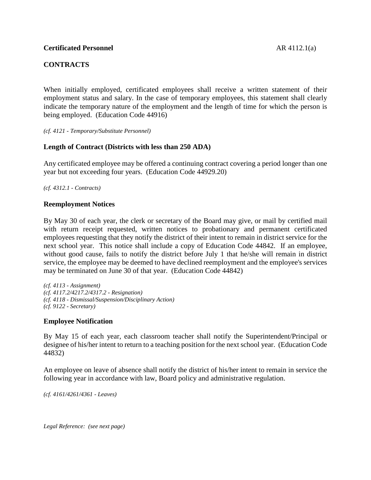## **CONTRACTS**

When initially employed, certificated employees shall receive a written statement of their employment status and salary. In the case of temporary employees, this statement shall clearly indicate the temporary nature of the employment and the length of time for which the person is being employed. (Education Code 44916)

*(cf. 4121 - Temporary/Substitute Personnel)*

### **Length of Contract (Districts with less than 250 ADA)**

Any certificated employee may be offered a continuing contract covering a period longer than one year but not exceeding four years. (Education Code 44929.20)

*(cf. 4312.1 - Contracts)*

#### **Reemployment Notices**

By May 30 of each year, the clerk or secretary of the Board may give, or mail by certified mail with return receipt requested, written notices to probationary and permanent certificated employees requesting that they notify the district of their intent to remain in district service for the next school year. This notice shall include a copy of Education Code 44842. If an employee, without good cause, fails to notify the district before July 1 that he/she will remain in district service, the employee may be deemed to have declined reemployment and the employee's services may be terminated on June 30 of that year. (Education Code 44842)

*(cf. 4113 - Assignment) (cf. 4117.2/4217.2/4317.2 - Resignation) (cf. 4118 - Dismissal/Suspension/Disciplinary Action) (cf. 9122 - Secretary)*

#### **Employee Notification**

By May 15 of each year, each classroom teacher shall notify the Superintendent/Principal or designee of his/her intent to return to a teaching position for the next school year. (Education Code 44832)

An employee on leave of absence shall notify the district of his/her intent to remain in service the following year in accordance with law, Board policy and administrative regulation.

*(cf. 4161/4261/4361 - Leaves)*

*Legal Reference: (see next page)*